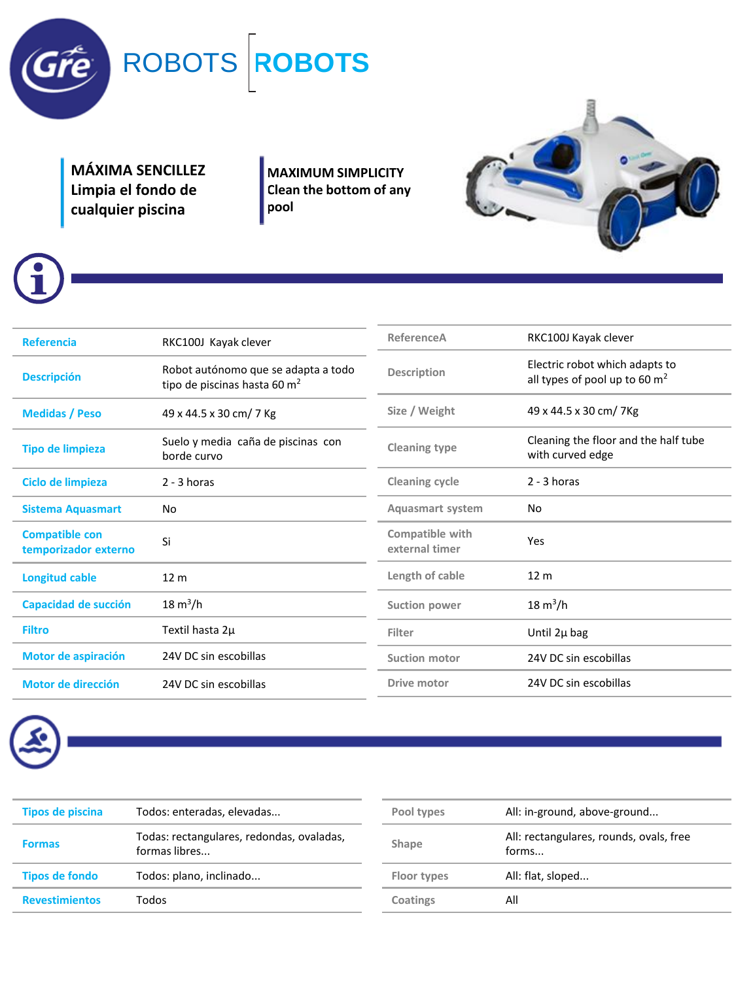

**MÁXIMA SENCILLEZ Limpia el fondo de cualquier piscina** 

**MAXIMUM SIMPLICITY Clean the bottom of any pool**



| <b>Referencia</b>                             | RKC100J Kayak clever                                                            | ReferenceA                        | RKC100J Kayak clever                                              |  |
|-----------------------------------------------|---------------------------------------------------------------------------------|-----------------------------------|-------------------------------------------------------------------|--|
| <b>Descripción</b>                            | Robot autónomo que se adapta a todo<br>tipo de piscinas hasta 60 m <sup>2</sup> | Description                       | Electric robot which adapts to<br>all types of pool up to 60 $m2$ |  |
| <b>Medidas / Peso</b>                         | 49 x 44.5 x 30 cm/ 7 Kg                                                         | Size / Weight                     | 49 x 44.5 x 30 cm/ 7 Kg                                           |  |
| <b>Tipo de limpieza</b>                       | Suelo y media caña de piscinas con<br>borde curvo                               | Cleaning type                     | Cleaning the floor and the half tube<br>with curved edge          |  |
| Ciclo de limpieza                             | $2 - 3$ horas                                                                   | Cleaning cycle                    | $2 - 3$ horas                                                     |  |
| <b>Sistema Aquasmart</b>                      | No                                                                              | <b>Aquasmart system</b>           | No                                                                |  |
| <b>Compatible con</b><br>temporizador externo | Si                                                                              | Compatible with<br>external timer | Yes                                                               |  |
| <b>Longitud cable</b>                         | 12 <sub>m</sub>                                                                 | Length of cable                   | 12 <sub>m</sub>                                                   |  |
| Capacidad de succión                          | $18 \text{ m}^3/h$                                                              | Suction power                     | $18 \text{ m}^3/h$                                                |  |
| <b>Filtro</b>                                 | Textil hasta 2µ                                                                 | Filter                            | Until 2µ bag                                                      |  |
| Motor de aspiración                           | 24V DC sin escobillas                                                           | <b>Suction motor</b>              | 24V DC sin escobillas                                             |  |
| Motor de dirección                            | 24V DC sin escobillas                                                           | Drive motor                       | 24V DC sin escobillas                                             |  |
|                                               |                                                                                 |                                   |                                                                   |  |



| Tipos de piscina      | Todos: enteradas, elevadas                                 |
|-----------------------|------------------------------------------------------------|
| <b>Formas</b>         | Todas: rectangulares, redondas, ovaladas,<br>formas libres |
| <b>Tipos de fondo</b> | Todos: plano, inclinado                                    |
| <b>Revestimientos</b> | Todos                                                      |

| All: in-ground, above-ground<br>Pool types |                                                  |  |
|--------------------------------------------|--------------------------------------------------|--|
| Shape                                      | All: rectangulares, rounds, ovals, free<br>forms |  |
| Floor types                                | All: flat, sloped                                |  |
| Coatings                                   | All                                              |  |